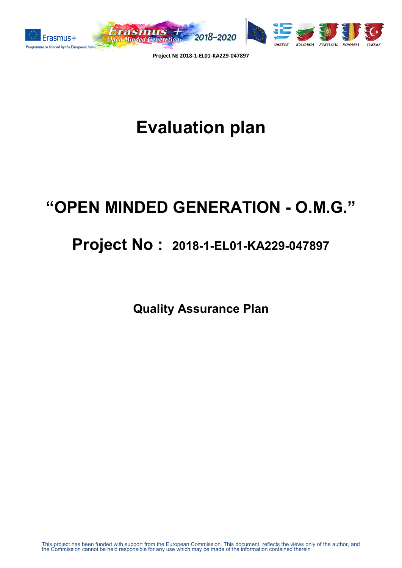

# **Evaluation plan**

## **"OPEN MINDED GENERATION - O.M.G."**

## **Project No : 2018-1-EL01-KA229-047897**

**Quality Assurance Plan**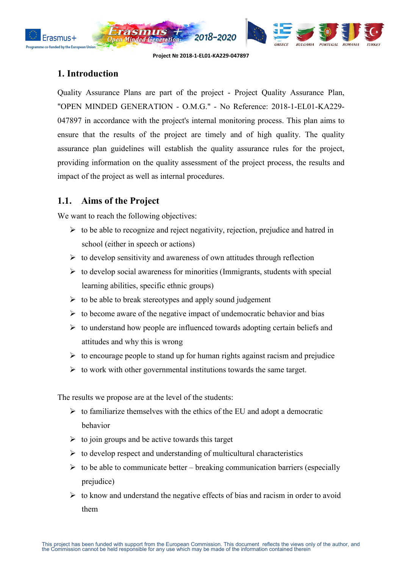



#### **1. Introduction**

nded by the European U

Quality Assurance Plans are part of the project - Project Quality Assurance Plan, "OPEN MINDED GENERATION - O.M.G." - No Reference: 2018-1-EL01-KA229- 047897 in accordance with the project's internal monitoring process. This plan aims to ensure that the results of the project are timely and of high quality. The quality assurance plan guidelines will establish the quality assurance rules for the project, providing information on the quality assessment of the project process, the results and impact of the project as well as internal procedures.

#### **1.1. Aims of the Project**

We want to reach the following objectives:

- $\triangleright$  to be able to recognize and reject negativity, rejection, prejudice and hatred in school (either in speech or actions)
- $\triangleright$  to develop sensitivity and awareness of own attitudes through reflection
- $\triangleright$  to develop social awareness for minorities (Immigrants, students with special learning abilities, specific ethnic groups)
- $\triangleright$  to be able to break stereotypes and apply sound judgement
- $\triangleright$  to become aware of the negative impact of undemocratic behavior and bias
- $\triangleright$  to understand how people are influenced towards adopting certain beliefs and attitudes and why this is wrong
- $\triangleright$  to encourage people to stand up for human rights against racism and prejudice
- $\triangleright$  to work with other governmental institutions towards the same target.

The results we propose are at the level of the students:

- $\triangleright$  to familiarize themselves with the ethics of the EU and adopt a democratic behavior
- $\triangleright$  to join groups and be active towards this target
- $\triangleright$  to develop respect and understanding of multicultural characteristics
- $\triangleright$  to be able to communicate better breaking communication barriers (especially prejudice)
- $\triangleright$  to know and understand the negative effects of bias and racism in order to avoid them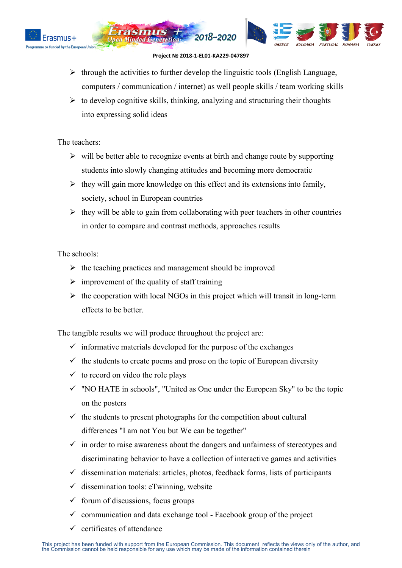



 $\triangleright$  through the activities to further develop the linguistic tools (English Language, computers / communication / internet) as well people skills / team working skills

2018-2020

 $\triangleright$  to develop cognitive skills, thinking, analyzing and structuring their thoughts into expressing solid ideas

The teachers:

- $\triangleright$  will be better able to recognize events at birth and change route by supporting students into slowly changing attitudes and becoming more democratic
- $\triangleright$  they will gain more knowledge on this effect and its extensions into family, society, school in European countries
- $\triangleright$  they will be able to gain from collaborating with peer teachers in other countries in order to compare and contrast methods, approaches results

The schools:

- $\triangleright$  the teaching practices and management should be improved
- $\triangleright$  improvement of the quality of staff training
- $\triangleright$  the cooperation with local NGOs in this project which will transit in long-term effects to be better.

The tangible results we will produce throughout the project are:

- $\checkmark$  informative materials developed for the purpose of the exchanges
- $\checkmark$  the students to create poems and prose on the topic of European diversity
- $\checkmark$  to record on video the role plays
- $\checkmark$  "NO HATE in schools". "United as One under the European Sky" to be the topic on the posters
- $\checkmark$  the students to present photographs for the competition about cultural differences "I am not You but We can be together"
- $\checkmark$  in order to raise awareness about the dangers and unfairness of stereotypes and discriminating behavior to have a collection of interactive games and activities
- $\checkmark$  dissemination materials: articles, photos, feedback forms, lists of participants
- $\checkmark$  dissemination tools: eTwinning, website
- $\checkmark$  forum of discussions, focus groups
- $\checkmark$  communication and data exchange tool Facebook group of the project
- certificates of attendance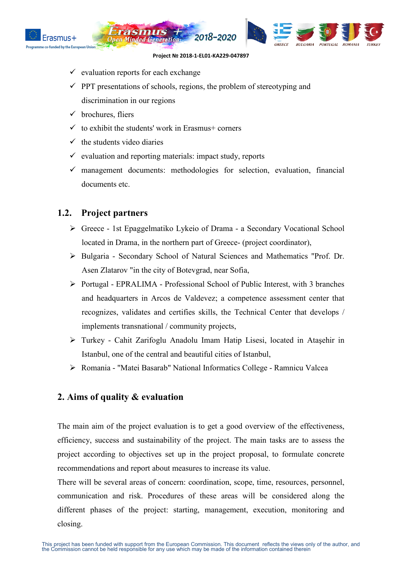



- $\checkmark$  evaluation reports for each exchange
- $\checkmark$  PPT presentations of schools, regions, the problem of stereotyping and discrimination in our regions
- $\checkmark$  brochures, fliers
- $\checkmark$  to exhibit the students' work in Erasmus+ corners
- $\checkmark$  the students video diaries
- $\checkmark$  evaluation and reporting materials: impact study, reports
- $\checkmark$  management documents: methodologies for selection, evaluation, financial documents etc.

#### **1.2. Project partners**

- Greece 1st Epaggelmatiko Lykeio of Drama a Secondary Vocational School located in Drama, in the northern part of Greece- (project coordinator),
- Bulgaria Secondary School of Natural Sciences and Mathematics "Prof. Dr. Asen Zlatarov "in the city of Botevgrad, near Sofia,
- Portugal EPRALIMA Professional School of Public Interest, with 3 branches and headquarters in Arcos de Valdevez; a competence assessment center that recognizes, validates and certifies skills, the Technical Center that develops / implements transnational / community projects,
- Turkey Cahit Zarifoglu Anadolu Imam Hatip Lisesi, located in Ataşehir in Istanbul, one of the central and beautiful cities of Istanbul,
- Romania "Matei Basarab" National Informatics College Ramnicu Valcea

#### **2. Aims of quality & evaluation**

The main aim of the project evaluation is to get a good overview of the effectiveness, efficiency, success and sustainability of the project. The main tasks are to assess the project according to objectives set up in the project proposal, to formulate concrete recommendations and report about measures to increase its value.

There will be several areas of concern: coordination, scope, time, resources, personnel, communication and risk. Procedures of these areas will be considered along the different phases of the project: starting, management, execution, monitoring and closing.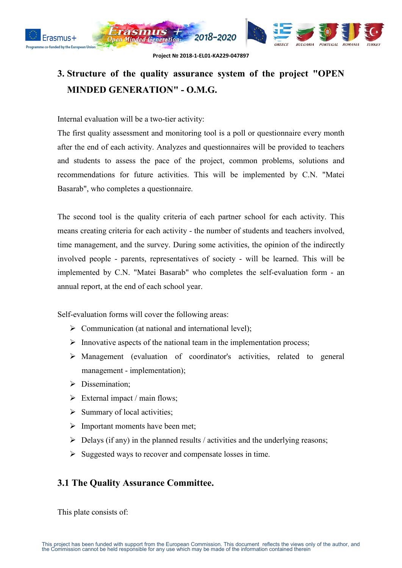

### **3. Structure of the quality assurance system of the project "OPEN MINDED GENERATION" - O.M.G.**

Internal evaluation will be a two-tier activity:

The first quality assessment and monitoring tool is a poll or questionnaire every month after the end of each activity. Analyzes and questionnaires will be provided to teachers and students to assess the pace of the project, common problems, solutions and recommendations for future activities. This will be implemented by C.N. "Matei Basarab", who completes a questionnaire.

The second tool is the quality criteria of each partner school for each activity. This means creating criteria for each activity - the number of students and teachers involved, time management, and the survey. During some activities, the opinion of the indirectly involved people - parents, representatives of society - will be learned. This will be implemented by C.N. "Matei Basarab" who completes the self-evaluation form - an annual report, at the end of each school year.

Self-evaluation forms will cover the following areas:

- $\triangleright$  Communication (at national and international level);
- $\triangleright$  Innovative aspects of the national team in the implementation process;
- Management (evaluation of coordinator's activities, related to general management - implementation);
- > Dissemination;
- $\triangleright$  External impact / main flows;
- $\triangleright$  Summary of local activities;
- $\triangleright$  Important moments have been met;
- $\triangleright$  Delays (if any) in the planned results / activities and the underlying reasons;
- $\triangleright$  Suggested ways to recover and compensate losses in time.

#### **3.1 The Quality Assurance Committee.**

This plate consists of: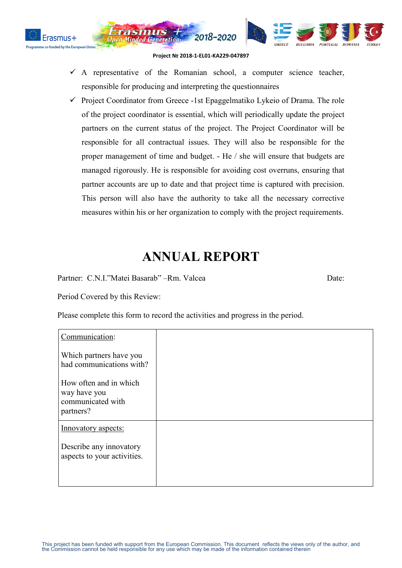



 $\checkmark$  A representative of the Romanian school, a computer science teacher, responsible for producing and interpreting the questionnaires

2018-2020

 $\checkmark$  Project Coordinator from Greece -1st Epaggelmatiko Lykeio of Drama. The role of the project coordinator is essential, which will periodically update the project partners on the current status of the project. The Project Coordinator will be responsible for all contractual issues. They will also be responsible for the proper management of time and budget. - He / she will ensure that budgets are managed rigorously. He is responsible for avoiding cost overruns, ensuring that partner accounts are up to date and that project time is captured with precision. This person will also have the authority to take all the necessary corrective measures within his or her organization to comply with the project requirements.

### **ANNUAL REPORT**

Partner: C.N.I."Matei Basarab" –Rm. Valcea Date:

Period Covered by this Review:

Please complete this form to record the activities and progress in the period.

| Communication:                                                           |  |
|--------------------------------------------------------------------------|--|
| Which partners have you<br>had communications with?                      |  |
| How often and in which<br>way have you<br>communicated with<br>partners? |  |
| Innovatory aspects:                                                      |  |
| Describe any innovatory<br>aspects to your activities.                   |  |
|                                                                          |  |

**BIIL GARIA** 

**PORTUGAL**